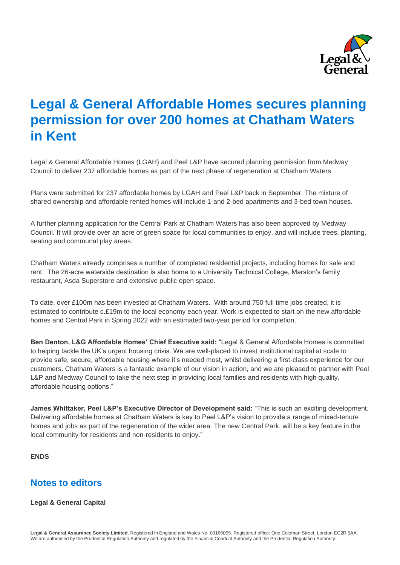

# **Legal & General Affordable Homes secures planning permission for over 200 homes at Chatham Waters in Kent**

Legal & General Affordable Homes (LGAH) and Peel L&P have secured planning permission from Medway Council to deliver 237 affordable homes as part of the next phase of regeneration at Chatham Waters.

Plans were submitted for 237 affordable homes by LGAH and Peel L&P back in September. The mixture of shared ownership and affordable rented homes will include 1-and 2-bed apartments and 3-bed town houses.

A further planning application for the Central Park at Chatham Waters has also been approved by Medway Council. It will provide over an acre of green space for local communities to enjoy, and will include trees, planting, seating and communal play areas.

Chatham Waters already comprises a number of completed residential projects, including homes for sale and rent. The 26-acre waterside destination is also home to a University Technical College, Marston's family restaurant, Asda Superstore and extensive public open space.

To date, over £100m has been invested at Chatham Waters. With around 750 full time jobs created, it is estimated to contribute c.£19m to the local economy each year. Work is expected to start on the new affordable homes and Central Park in Spring 2022 with an estimated two-year period for completion.

**Ben Denton, L&G Affordable Homes' Chief Executive said:** "Legal & General Affordable Homes is committed to helping tackle the UK's urgent housing crisis. We are well-placed to invest institutional capital at scale to provide safe, secure, affordable housing where it's needed most, whilst delivering a first-class experience for our customers. Chatham Waters is a fantastic example of our vision in action, and we are pleased to partner with Peel L&P and Medway Council to take the next step in providing local families and residents with high quality, affordable housing options."

**James Whittaker, Peel L&P's Executive Director of Development said:** "This is such an exciting development. Delivering affordable homes at Chatham Waters is key to Peel L&P's vision to provide a range of mixed-tenure homes and jobs as part of the regeneration of the wider area. The new Central Park, will be a key feature in the local community for residents and non-residents to enjoy."

# **ENDS**

# **Notes to editors**

#### **Legal & General Capital**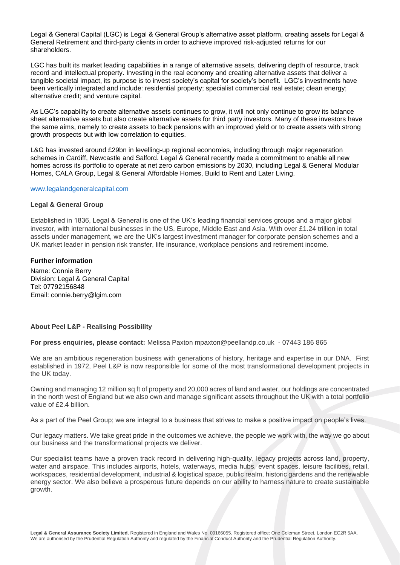Legal & General Capital (LGC) is Legal & General Group's alternative asset platform, creating assets for Legal & General Retirement and third-party clients in order to achieve improved risk-adjusted returns for our shareholders.

LGC has built its market leading capabilities in a range of alternative assets, delivering depth of resource, track record and intellectual property. Investing in the real economy and creating alternative assets that deliver a tangible societal impact, its purpose is to invest society's capital for society's benefit. LGC's investments have been vertically integrated and include: residential property; specialist commercial real estate; clean energy; alternative credit; and venture capital.

As LGC's capability to create alternative assets continues to grow, it will not only continue to grow its balance sheet alternative assets but also create alternative assets for third party investors. Many of these investors have the same aims, namely to create assets to back pensions with an improved yield or to create assets with strong growth prospects but with low correlation to equities.

L&G has invested around £29bn in levelling-up regional economies, including through major regeneration schemes in Cardiff, Newcastle and Salford. Legal & General recently made a commitment to enable all new homes across its portfolio to operate at net zero carbon emissions by 2030, including Legal & General Modular Homes, CALA Group, Legal & General Affordable Homes, Build to Rent and Later Living.

#### [www.legalandgeneralcapital.com](http://www.legalandgeneralcapital.com/)

#### **Legal & General Group**

Established in 1836, Legal & General is one of the UK's leading financial services groups and a major global investor, with international businesses in the US, Europe, Middle East and Asia. With over £1.24 trillion in total assets under management, we are the UK's largest investment manager for corporate pension schemes and a UK market leader in pension risk transfer, life insurance, workplace pensions and retirement income.

# **Further information**

Name: Connie Berry Division: Legal & General Capital Tel: 07792156848 Email: connie.berry@lgim.com

### **About Peel L&P - Realising Possibility**

**For press enquiries, please contact:** Melissa Paxton mpaxton@peellandp.co.uk - 07443 186 865

We are an ambitious regeneration business with generations of history, heritage and expertise in our DNA. First established in 1972, Peel L&P is now responsible for some of the most transformational development projects in the UK today.

Owning and managing 12 million sq ft of property and 20,000 acres of land and water, our holdings are concentrated in the north west of England but we also own and manage significant assets throughout the UK with a total portfolio value of £2.4 billion.

As a part of the Peel Group; we are integral to a business that strives to make a positive impact on people's lives.

Our legacy matters. We take great pride in the outcomes we achieve, the people we work with, the way we go about our business and the transformational projects we deliver.

Our specialist teams have a proven track record in delivering high-quality, legacy projects across land, property, water and airspace. This includes airports, hotels, waterways, media hubs, event spaces, leisure facilities, retail, workspaces, residential development, industrial & logistical space, public realm, historic gardens and the renewable energy sector. We also believe a prosperous future depends on our ability to harness nature to create sustainable growth.